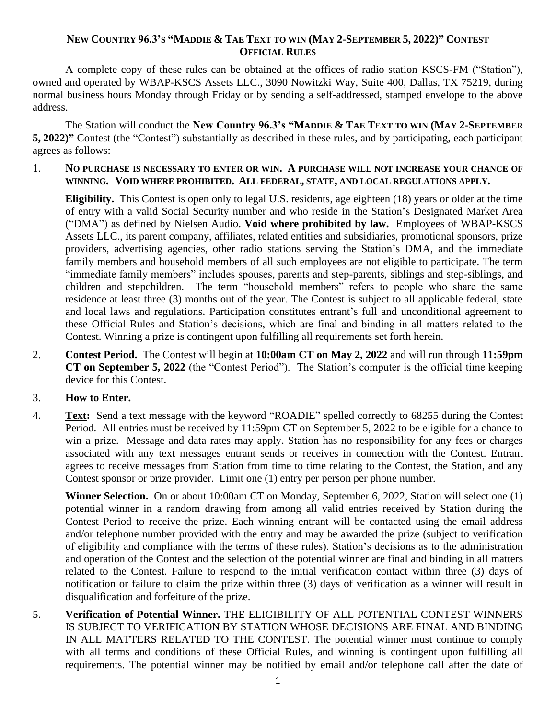## NEW COUNTRY 96.3'S "MADDIE & TAE TEXT TO WIN (MAY 2-SEPTEMBER 5, 2022)" CONTEST **OFFICIAL RULES**

A complete copy of these rules can be obtained at the offices of radio station KSCS-FM ("Station"), owned and operated by WBAP-KSCS Assets LLC., 3090 Nowitzki Way, Suite 400, Dallas, TX 75219, during normal business hours Monday through Friday or by sending a self-addressed, stamped envelope to the above address.

The Station will conduct the **New Country 96.3's "MADDIE & TAE TEXT TO WIN (MAY 2-SEPTEMBER 5, 2022)"** Contest (the "Contest") substantially as described in these rules, and by participating, each participant agrees as follows:

1. **NO PURCHASE IS NECESSARY TO ENTER OR WIN. A PURCHASE WILL NOT INCREASE YOUR CHANCE OF WINNING. VOID WHERE PROHIBITED. ALL FEDERAL, STATE, AND LOCAL REGULATIONS APPLY.**

**Eligibility.** This Contest is open only to legal U.S. residents, age eighteen (18) years or older at the time of entry with a valid Social Security number and who reside in the Station's Designated Market Area ("DMA") as defined by Nielsen Audio. **Void where prohibited by law.** Employees of WBAP-KSCS Assets LLC., its parent company, affiliates, related entities and subsidiaries, promotional sponsors, prize providers, advertising agencies, other radio stations serving the Station's DMA, and the immediate family members and household members of all such employees are not eligible to participate. The term "immediate family members" includes spouses, parents and step-parents, siblings and step-siblings, and children and stepchildren. The term "household members" refers to people who share the same residence at least three (3) months out of the year. The Contest is subject to all applicable federal, state and local laws and regulations. Participation constitutes entrant's full and unconditional agreement to these Official Rules and Station's decisions, which are final and binding in all matters related to the Contest. Winning a prize is contingent upon fulfilling all requirements set forth herein.

- 2. **Contest Period.** The Contest will begin at **10:00am CT on May 2, 2022** and will run through **11:59pm CT on September 5, 2022** (the "Contest Period"). The Station's computer is the official time keeping device for this Contest.
- 3. **How to Enter.**
- 4. **Text:** Send a text message with the keyword "ROADIE" spelled correctly to 68255 during the Contest Period. All entries must be received by 11:59pm CT on September 5, 2022 to be eligible for a chance to win a prize.Message and data rates may apply. Station has no responsibility for any fees or charges associated with any text messages entrant sends or receives in connection with the Contest. Entrant agrees to receive messages from Station from time to time relating to the Contest, the Station, and any Contest sponsor or prize provider. Limit one (1) entry per person per phone number.

**Winner Selection.** On or about 10:00am CT on Monday, September 6, 2022, Station will select one (1) potential winner in a random drawing from among all valid entries received by Station during the Contest Period to receive the prize. Each winning entrant will be contacted using the email address and/or telephone number provided with the entry and may be awarded the prize (subject to verification of eligibility and compliance with the terms of these rules). Station's decisions as to the administration and operation of the Contest and the selection of the potential winner are final and binding in all matters related to the Contest. Failure to respond to the initial verification contact within three (3) days of notification or failure to claim the prize within three (3) days of verification as a winner will result in disqualification and forfeiture of the prize.

5. **Verification of Potential Winner.** THE ELIGIBILITY OF ALL POTENTIAL CONTEST WINNERS IS SUBJECT TO VERIFICATION BY STATION WHOSE DECISIONS ARE FINAL AND BINDING IN ALL MATTERS RELATED TO THE CONTEST. The potential winner must continue to comply with all terms and conditions of these Official Rules, and winning is contingent upon fulfilling all requirements. The potential winner may be notified by email and/or telephone call after the date of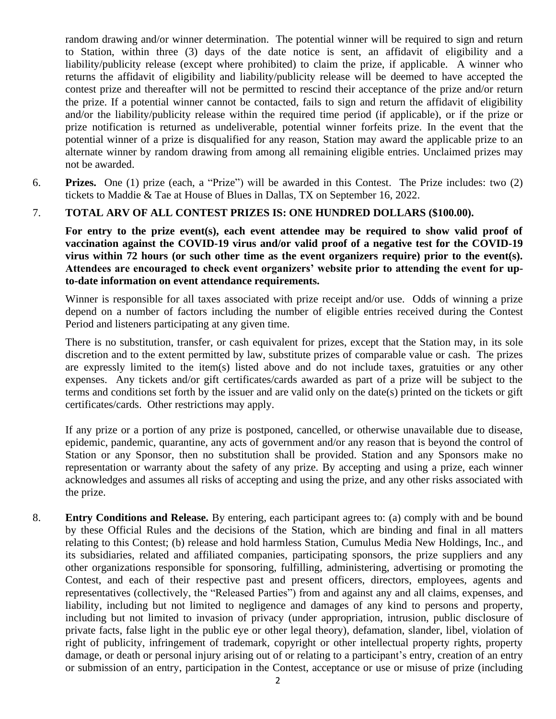random drawing and/or winner determination. The potential winner will be required to sign and return to Station, within three (3) days of the date notice is sent, an affidavit of eligibility and a liability/publicity release (except where prohibited) to claim the prize, if applicable. A winner who returns the affidavit of eligibility and liability/publicity release will be deemed to have accepted the contest prize and thereafter will not be permitted to rescind their acceptance of the prize and/or return the prize. If a potential winner cannot be contacted, fails to sign and return the affidavit of eligibility and/or the liability/publicity release within the required time period (if applicable), or if the prize or prize notification is returned as undeliverable, potential winner forfeits prize. In the event that the potential winner of a prize is disqualified for any reason, Station may award the applicable prize to an alternate winner by random drawing from among all remaining eligible entries. Unclaimed prizes may not be awarded.

6. **Prizes.** One (1) prize (each, a "Prize") will be awarded in this Contest. The Prize includes: two (2) tickets to Maddie & Tae at House of Blues in Dallas, TX on September 16, 2022.

## 7. **TOTAL ARV OF ALL CONTEST PRIZES IS: ONE HUNDRED DOLLARS (\$100.00).**

For entry to the prize event(s), each event attendee may be required to show valid proof of **vaccination against the COVID-19 virus and/or valid proof of a negative test for the COVID-19 virus within 72 hours (or such other time as the event organizers require) prior to the event(s). Attendees are encouraged to check event organizers' website prior to attending the event for upto-date information on event attendance requirements.**

Winner is responsible for all taxes associated with prize receipt and/or use. Odds of winning a prize depend on a number of factors including the number of eligible entries received during the Contest Period and listeners participating at any given time.

There is no substitution, transfer, or cash equivalent for prizes, except that the Station may, in its sole discretion and to the extent permitted by law, substitute prizes of comparable value or cash. The prizes are expressly limited to the item(s) listed above and do not include taxes, gratuities or any other expenses. Any tickets and/or gift certificates/cards awarded as part of a prize will be subject to the terms and conditions set forth by the issuer and are valid only on the date(s) printed on the tickets or gift certificates/cards. Other restrictions may apply.

If any prize or a portion of any prize is postponed, cancelled, or otherwise unavailable due to disease, epidemic, pandemic, quarantine, any acts of government and/or any reason that is beyond the control of Station or any Sponsor, then no substitution shall be provided. Station and any Sponsors make no representation or warranty about the safety of any prize. By accepting and using a prize, each winner acknowledges and assumes all risks of accepting and using the prize, and any other risks associated with the prize.

8. **Entry Conditions and Release.** By entering, each participant agrees to: (a) comply with and be bound by these Official Rules and the decisions of the Station, which are binding and final in all matters relating to this Contest; (b) release and hold harmless Station, Cumulus Media New Holdings, Inc., and its subsidiaries, related and affiliated companies, participating sponsors, the prize suppliers and any other organizations responsible for sponsoring, fulfilling, administering, advertising or promoting the Contest, and each of their respective past and present officers, directors, employees, agents and representatives (collectively, the "Released Parties") from and against any and all claims, expenses, and liability, including but not limited to negligence and damages of any kind to persons and property, including but not limited to invasion of privacy (under appropriation, intrusion, public disclosure of private facts, false light in the public eye or other legal theory), defamation, slander, libel, violation of right of publicity, infringement of trademark, copyright or other intellectual property rights, property damage, or death or personal injury arising out of or relating to a participant's entry, creation of an entry or submission of an entry, participation in the Contest, acceptance or use or misuse of prize (including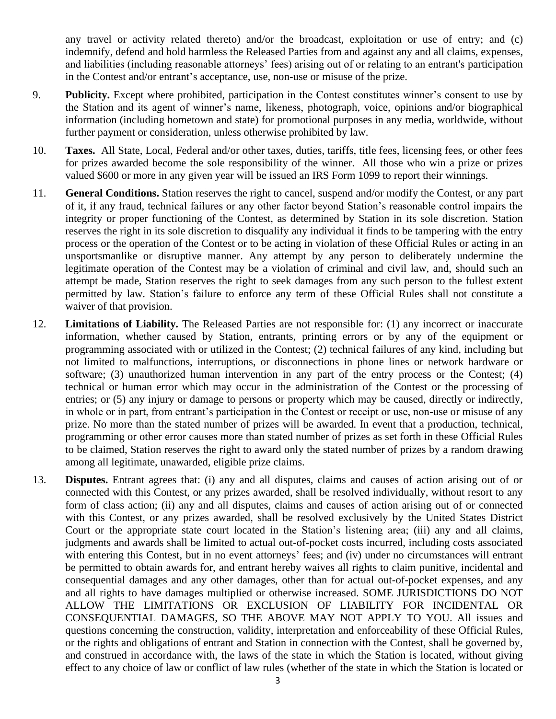any travel or activity related thereto) and/or the broadcast, exploitation or use of entry; and (c) indemnify, defend and hold harmless the Released Parties from and against any and all claims, expenses, and liabilities (including reasonable attorneys' fees) arising out of or relating to an entrant's participation in the Contest and/or entrant's acceptance, use, non-use or misuse of the prize.

- 9. **Publicity.** Except where prohibited, participation in the Contest constitutes winner's consent to use by the Station and its agent of winner's name, likeness, photograph, voice, opinions and/or biographical information (including hometown and state) for promotional purposes in any media, worldwide, without further payment or consideration, unless otherwise prohibited by law.
- 10. **Taxes.** All State, Local, Federal and/or other taxes, duties, tariffs, title fees, licensing fees, or other fees for prizes awarded become the sole responsibility of the winner. All those who win a prize or prizes valued \$600 or more in any given year will be issued an IRS Form 1099 to report their winnings.
- 11. **General Conditions.** Station reserves the right to cancel, suspend and/or modify the Contest, or any part of it, if any fraud, technical failures or any other factor beyond Station's reasonable control impairs the integrity or proper functioning of the Contest, as determined by Station in its sole discretion. Station reserves the right in its sole discretion to disqualify any individual it finds to be tampering with the entry process or the operation of the Contest or to be acting in violation of these Official Rules or acting in an unsportsmanlike or disruptive manner. Any attempt by any person to deliberately undermine the legitimate operation of the Contest may be a violation of criminal and civil law, and, should such an attempt be made, Station reserves the right to seek damages from any such person to the fullest extent permitted by law. Station's failure to enforce any term of these Official Rules shall not constitute a waiver of that provision.
- 12. **Limitations of Liability.** The Released Parties are not responsible for: (1) any incorrect or inaccurate information, whether caused by Station, entrants, printing errors or by any of the equipment or programming associated with or utilized in the Contest; (2) technical failures of any kind, including but not limited to malfunctions, interruptions, or disconnections in phone lines or network hardware or software; (3) unauthorized human intervention in any part of the entry process or the Contest; (4) technical or human error which may occur in the administration of the Contest or the processing of entries; or (5) any injury or damage to persons or property which may be caused, directly or indirectly, in whole or in part, from entrant's participation in the Contest or receipt or use, non-use or misuse of any prize. No more than the stated number of prizes will be awarded. In event that a production, technical, programming or other error causes more than stated number of prizes as set forth in these Official Rules to be claimed, Station reserves the right to award only the stated number of prizes by a random drawing among all legitimate, unawarded, eligible prize claims.
- 13. **Disputes.** Entrant agrees that: (i) any and all disputes, claims and causes of action arising out of or connected with this Contest, or any prizes awarded, shall be resolved individually, without resort to any form of class action; (ii) any and all disputes, claims and causes of action arising out of or connected with this Contest, or any prizes awarded, shall be resolved exclusively by the United States District Court or the appropriate state court located in the Station's listening area; (iii) any and all claims, judgments and awards shall be limited to actual out-of-pocket costs incurred, including costs associated with entering this Contest, but in no event attorneys' fees; and (iv) under no circumstances will entrant be permitted to obtain awards for, and entrant hereby waives all rights to claim punitive, incidental and consequential damages and any other damages, other than for actual out-of-pocket expenses, and any and all rights to have damages multiplied or otherwise increased. SOME JURISDICTIONS DO NOT ALLOW THE LIMITATIONS OR EXCLUSION OF LIABILITY FOR INCIDENTAL OR CONSEQUENTIAL DAMAGES, SO THE ABOVE MAY NOT APPLY TO YOU. All issues and questions concerning the construction, validity, interpretation and enforceability of these Official Rules, or the rights and obligations of entrant and Station in connection with the Contest, shall be governed by, and construed in accordance with, the laws of the state in which the Station is located, without giving effect to any choice of law or conflict of law rules (whether of the state in which the Station is located or